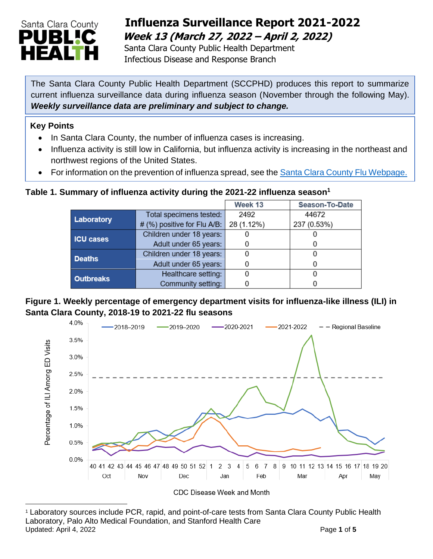

# **Influenza Surveillance Report 2021-2022 Week 13 (March 27, 2022 – April 2, 2022)**

 Santa Clara County Public Health Department Infectious Disease and Response Branch

The Santa Clara County Public Health Department (SCCPHD) produces this report to summarize current influenza surveillance data during influenza season (November through the following May). *Weekly surveillance data are preliminary and subject to change.*

#### **Key Points**

- In Santa Clara County, the number of influenza cases is increasing.
- Influenza activity is still low in California, but influenza activity is increasing in the northeast and northwest regions of the United States.
- For information on the prevention of influenza spread, see the [Santa Clara County Flu Webpage.](https://publichealth.sccgov.org/disease-information/influenza-flu)

### **Table 1. Summary of influenza activity during the 2021-22 influenza season<sup>1</sup>**

|                  |                             | Week 13    | Season-To-Date |  |
|------------------|-----------------------------|------------|----------------|--|
| Laboratory       | Total specimens tested:     | 2492       | 44672          |  |
|                  | # (%) positive for Flu A/B: | 28 (1.12%) | 237 (0.53%)    |  |
| <b>ICU cases</b> | Children under 18 years:    |            |                |  |
|                  | Adult under 65 years:       |            | 0              |  |
| <b>Deaths</b>    | Children under 18 years:    | 0          | O              |  |
|                  | Adult under 65 years:       |            | $\Box$         |  |
| <b>Outbreaks</b> | Healthcare setting:         |            |                |  |
|                  | Community setting:          |            |                |  |

### **Figure 1. Weekly percentage of emergency department visits for influenza-like illness (ILI) in Santa Clara County, 2018-19 to 2021-22 flu seasons**



<sup>1</sup> Laboratory sources include PCR, rapid, and point-of-care tests from Santa Clara County Public Health Laboratory, Palo Alto Medical Foundation, and Stanford Health Care Updated: April 4, 2022 **Page 1** of 5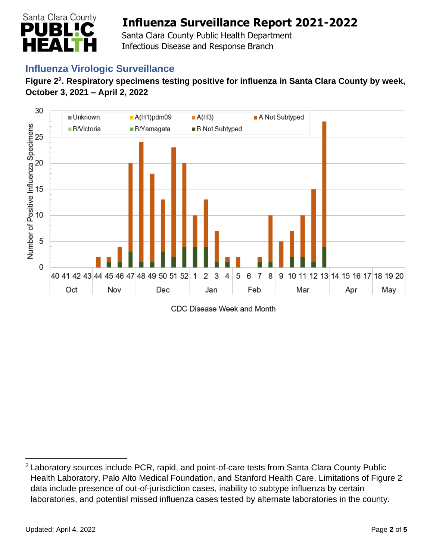

 Santa Clara County Public Health Department Infectious Disease and Response Branch

## **Influenza Virologic Surveillance**

#### **Figure 2<sup>2</sup> . Respiratory specimens testing positive for influenza in Santa Clara County by week, October 3, 2021 – April 2, 2022**



CDC Disease Week and Month

<sup>&</sup>lt;sup>2</sup> Laboratory sources include PCR, rapid, and point-of-care tests from Santa Clara County Public Health Laboratory, Palo Alto Medical Foundation, and Stanford Health Care. Limitations of Figure 2 data include presence of out-of-jurisdiction cases, inability to subtype influenza by certain laboratories, and potential missed influenza cases tested by alternate laboratories in the county.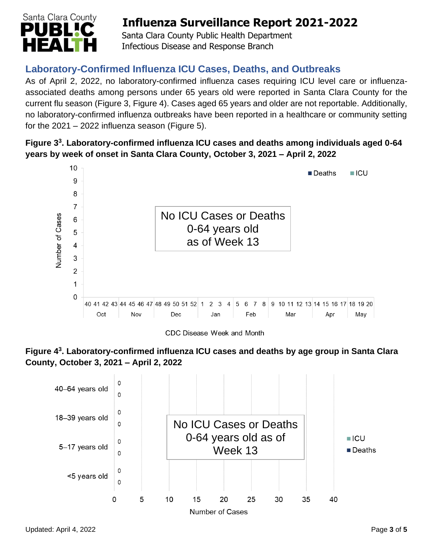

 Santa Clara County Public Health Department Infectious Disease and Response Branch

## **Laboratory-Confirmed Influenza ICU Cases, Deaths, and Outbreaks**

As of April 2, 2022, no laboratory-confirmed influenza cases requiring ICU level care or influenzaassociated deaths among persons under 65 years old were reported in Santa Clara County for the current flu season (Figure 3, Figure 4). Cases aged 65 years and older are not reportable. Additionally, no laboratory-confirmed influenza outbreaks have been reported in a healthcare or community setting for the  $2021 - 2022$  influenza season (Figure 5).

#### **Figure 3 3 . Laboratory-confirmed influenza ICU cases and deaths among individuals aged 0-64 years by week of onset in Santa Clara County, October 3, 2021 – April 2, 2022**



CDC Disease Week and Month



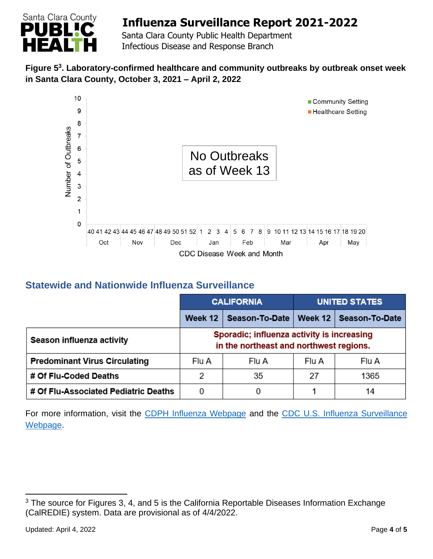

 Santa Clara County Public Health Department Infectious Disease and Response Branch

#### **Figure 5 3 . Laboratory-confirmed healthcare and community outbreaks by outbreak onset week in Santa Clara County, October 3, 2021 – April 2, 2022**



## **Statewide and Nationwide Influenza Surveillance**

|                                      | <b>CALIFORNIA</b>                                                                     |                | <b>UNITED STATES</b> |                |
|--------------------------------------|---------------------------------------------------------------------------------------|----------------|----------------------|----------------|
|                                      | Week 12                                                                               | Season-To-Date | Week 12              | Season-To-Date |
| Season influenza activity            | Sporadic; influenza activity is increasing<br>in the northeast and northwest regions. |                |                      |                |
| <b>Predominant Virus Circulating</b> | Flu A                                                                                 | Flu A          | Flu A                | Flu A          |
| # Of Flu-Coded Deaths                | 2                                                                                     | 35             | 27                   | 1365           |
| # Of Flu-Associated Pediatric Deaths | 0                                                                                     |                |                      | 14             |

For more information, visit the [CDPH Influenza Webpage](http://www.cdph.ca.gov/Programs/CID/DCDC/Pages/Immunization/Influenza.aspx) and the CDC U.S. Influenza Surveillance [Webpage.](http://www.cdc.gov/flu/weekly/)

<sup>&</sup>lt;sup>3</sup> The source for Figures 3, 4, and 5 is the California Reportable Diseases Information Exchange (CalREDIE) system. Data are provisional as of 4/4/2022.